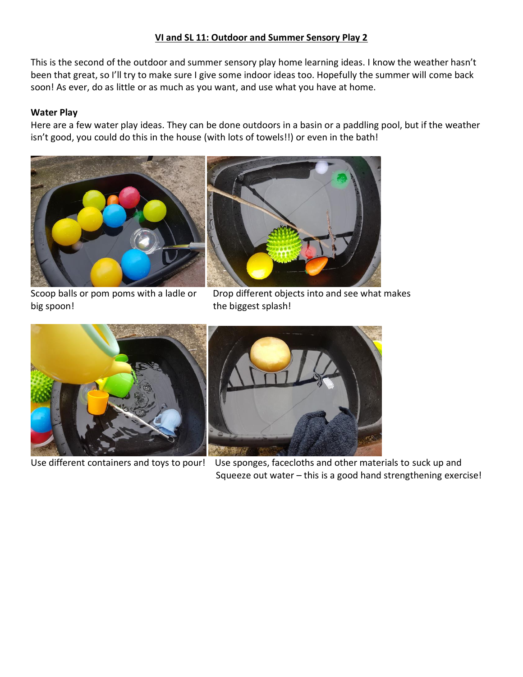# **VI and SL 11: Outdoor and Summer Sensory Play 2**

This is the second of the outdoor and summer sensory play home learning ideas. I know the weather hasn't been that great, so I'll try to make sure I give some indoor ideas too. Hopefully the summer will come back soon! As ever, do as little or as much as you want, and use what you have at home.

# **Water Play**

Here are a few water play ideas. They can be done outdoors in a basin or a paddling pool, but if the weather isn't good, you could do this in the house (with lots of towels!!) or even in the bath!



big spoon! the biggest splash!

Scoop balls or pom poms with a ladle or Drop different objects into and see what makes





Use different containers and toys to pour! Use sponges, facecloths and other materials to suck up and Squeeze out water – this is a good hand strengthening exercise!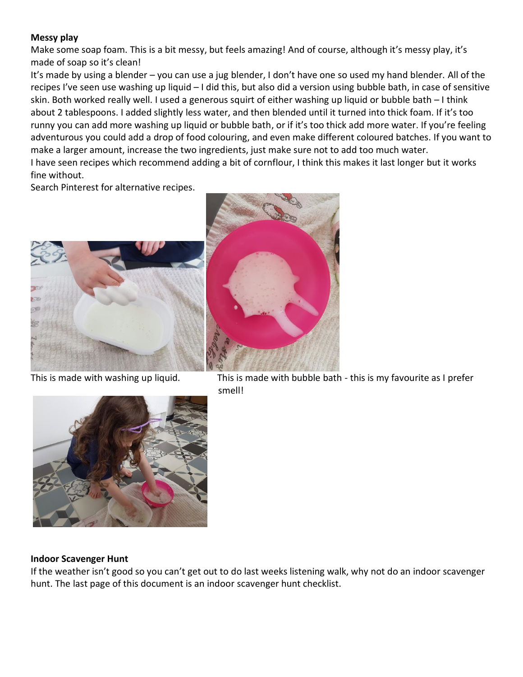## **Messy play**

Make some soap foam. This is a bit messy, but feels amazing! And of course, although it's messy play, it's made of soap so it's clean!

It's made by using a blender – you can use a jug blender, I don't have one so used my hand blender. All of the recipes I've seen use washing up liquid – I did this, but also did a version using bubble bath, in case of sensitive skin. Both worked really well. I used a generous squirt of either washing up liquid or bubble bath – I think about 2 tablespoons. I added slightly less water, and then blended until it turned into thick foam. If it's too runny you can add more washing up liquid or bubble bath, or if it's too thick add more water. If you're feeling adventurous you could add a drop of food colouring, and even make different coloured batches. If you want to make a larger amount, increase the two ingredients, just make sure not to add too much water. I have seen recipes which recommend adding a bit of cornflour, I think this makes it last longer but it works fine without.

Search Pinterest for alternative recipes.





This is made with washing up liquid. This is made with bubble bath - this is my favourite as I prefer



#### **Indoor Scavenger Hunt**

If the weather isn't good so you can't get out to do last weeks listening walk, why not do an indoor scavenger hunt. The last page of this document is an indoor scavenger hunt checklist.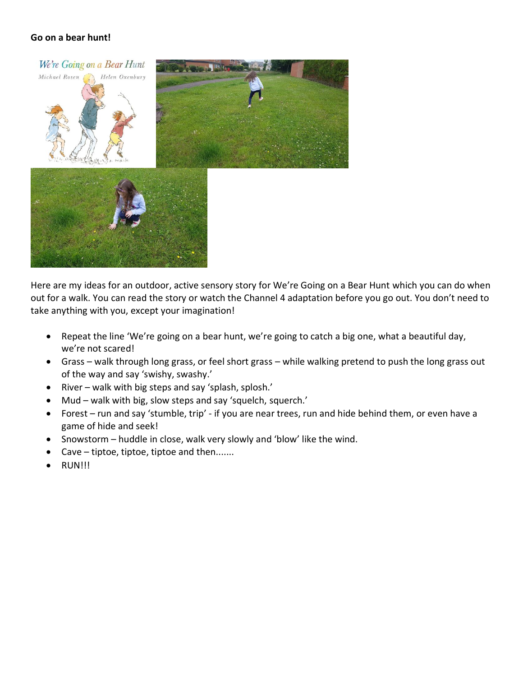## **Go on a bear hunt!**



Here are my ideas for an outdoor, active sensory story for We're Going on a Bear Hunt which you can do when out for a walk. You can read the story or watch the Channel 4 adaptation before you go out. You don't need to take anything with you, except your imagination!

- Repeat the line 'We're going on a bear hunt, we're going to catch a big one, what a beautiful day, we're not scared!
- Grass walk through long grass, or feel short grass while walking pretend to push the long grass out of the way and say 'swishy, swashy.'
- River walk with big steps and say 'splash, splosh.'
- Mud walk with big, slow steps and say 'squelch, squerch.'
- Forest run and say 'stumble, trip' if you are near trees, run and hide behind them, or even have a game of hide and seek!
- Snowstorm huddle in close, walk very slowly and 'blow' like the wind.
- Cave tiptoe, tiptoe, tiptoe and then.......
- RUN!!!